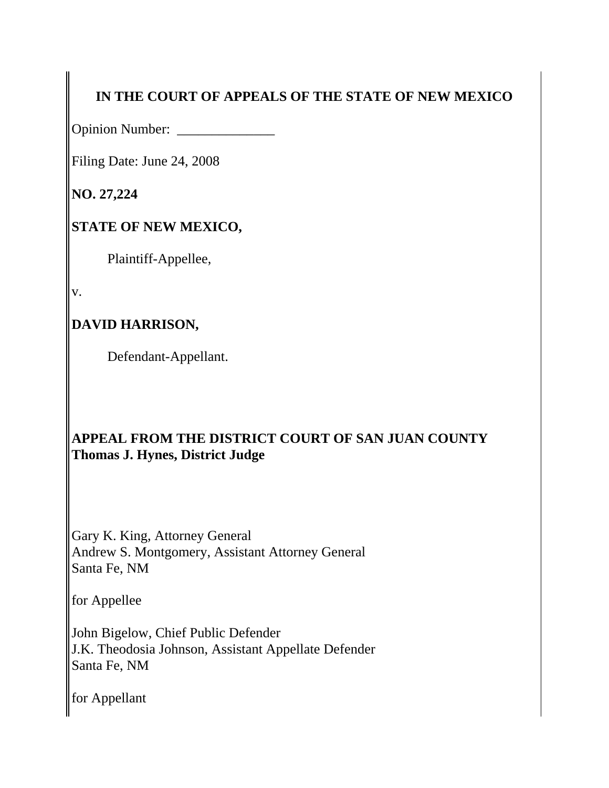# **IN THE COURT OF APPEALS OF THE STATE OF NEW MEXICO**

Opinion Number: \_\_\_\_\_\_\_\_\_\_\_\_\_\_

Filing Date: June 24, 2008

**NO. 27,224**

## **STATE OF NEW MEXICO,**

Plaintiff-Appellee,

v.

# **DAVID HARRISON,**

Defendant-Appellant.

### **APPEAL FROM THE DISTRICT COURT OF SAN JUAN COUNTY Thomas J. Hynes, District Judge**

Gary K. King, Attorney General Andrew S. Montgomery, Assistant Attorney General Santa Fe, NM

for Appellee

John Bigelow, Chief Public Defender J.K. Theodosia Johnson, Assistant Appellate Defender Santa Fe, NM

for Appellant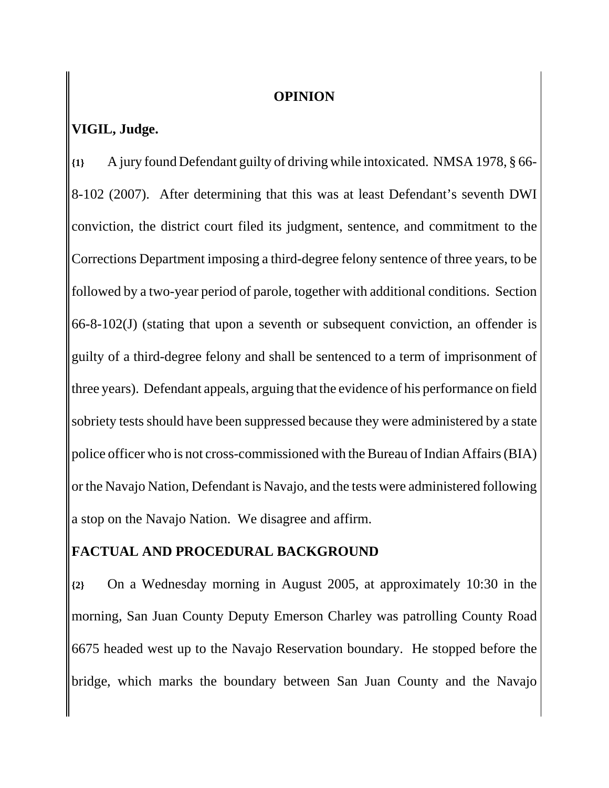#### **OPINION**

### **VIGIL, Judge.**

**{1}** A jury found Defendant guilty of driving while intoxicated. NMSA 1978, § 66- 8-102 (2007). After determining that this was at least Defendant's seventh DWI conviction, the district court filed its judgment, sentence, and commitment to the Corrections Department imposing a third-degree felony sentence of three years, to be followed by a two-year period of parole, together with additional conditions. Section 66-8-102(J) (stating that upon a seventh or subsequent conviction, an offender is guilty of a third-degree felony and shall be sentenced to a term of imprisonment of three years). Defendant appeals, arguing that the evidence of his performance on field sobriety tests should have been suppressed because they were administered by a state police officer who is not cross-commissioned with the Bureau of Indian Affairs (BIA) or the Navajo Nation, Defendant is Navajo, and the tests were administered following a stop on the Navajo Nation. We disagree and affirm.

#### **FACTUAL AND PROCEDURAL BACKGROUND**

**{2}** On a Wednesday morning in August 2005, at approximately 10:30 in the morning, San Juan County Deputy Emerson Charley was patrolling County Road 6675 headed west up to the Navajo Reservation boundary. He stopped before the bridge, which marks the boundary between San Juan County and the Navajo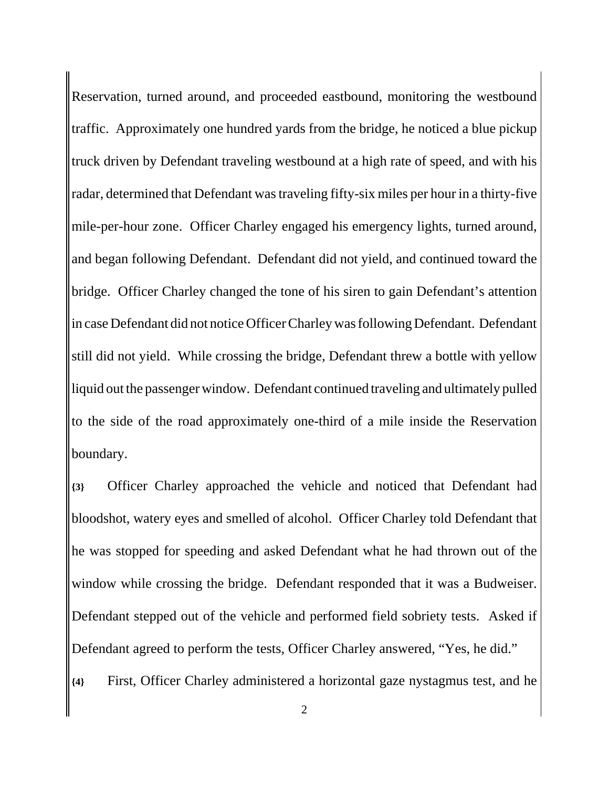Reservation, turned around, and proceeded eastbound, monitoring the westbound traffic. Approximately one hundred yards from the bridge, he noticed a blue pickup truck driven by Defendant traveling westbound at a high rate of speed, and with his radar, determined that Defendant was traveling fifty-six miles per hour in a thirty-five mile-per-hour zone. Officer Charley engaged his emergency lights, turned around, and began following Defendant. Defendant did not yield, and continued toward the bridge. Officer Charley changed the tone of his siren to gain Defendant's attention in case Defendant did not notice Officer Charley was following Defendant. Defendant still did not yield. While crossing the bridge, Defendant threw a bottle with yellow liquid out the passenger window. Defendant continued traveling and ultimately pulled to the side of the road approximately one-third of a mile inside the Reservation boundary.

**{3}** Officer Charley approached the vehicle and noticed that Defendant had bloodshot, watery eyes and smelled of alcohol. Officer Charley told Defendant that he was stopped for speeding and asked Defendant what he had thrown out of the window while crossing the bridge. Defendant responded that it was a Budweiser. Defendant stepped out of the vehicle and performed field sobriety tests. Asked if Defendant agreed to perform the tests, Officer Charley answered, "Yes, he did."

**{4}** First, Officer Charley administered a horizontal gaze nystagmus test, and he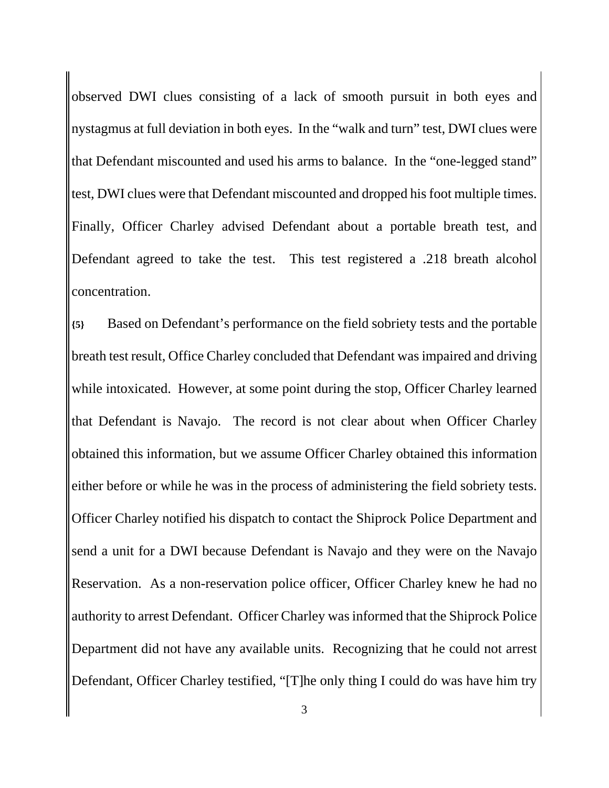observed DWI clues consisting of a lack of smooth pursuit in both eyes and nystagmus at full deviation in both eyes. In the "walk and turn" test, DWI clues were that Defendant miscounted and used his arms to balance. In the "one-legged stand" test, DWI clues were that Defendant miscounted and dropped his foot multiple times. Finally, Officer Charley advised Defendant about a portable breath test, and Defendant agreed to take the test. This test registered a .218 breath alcohol concentration.

**{5}** Based on Defendant's performance on the field sobriety tests and the portable breath test result, Office Charley concluded that Defendant was impaired and driving while intoxicated. However, at some point during the stop, Officer Charley learned that Defendant is Navajo. The record is not clear about when Officer Charley obtained this information, but we assume Officer Charley obtained this information either before or while he was in the process of administering the field sobriety tests. Officer Charley notified his dispatch to contact the Shiprock Police Department and send a unit for a DWI because Defendant is Navajo and they were on the Navajo Reservation. As a non-reservation police officer, Officer Charley knew he had no authority to arrest Defendant. Officer Charley was informed that the Shiprock Police Department did not have any available units. Recognizing that he could not arrest Defendant, Officer Charley testified, "[T]he only thing I could do was have him try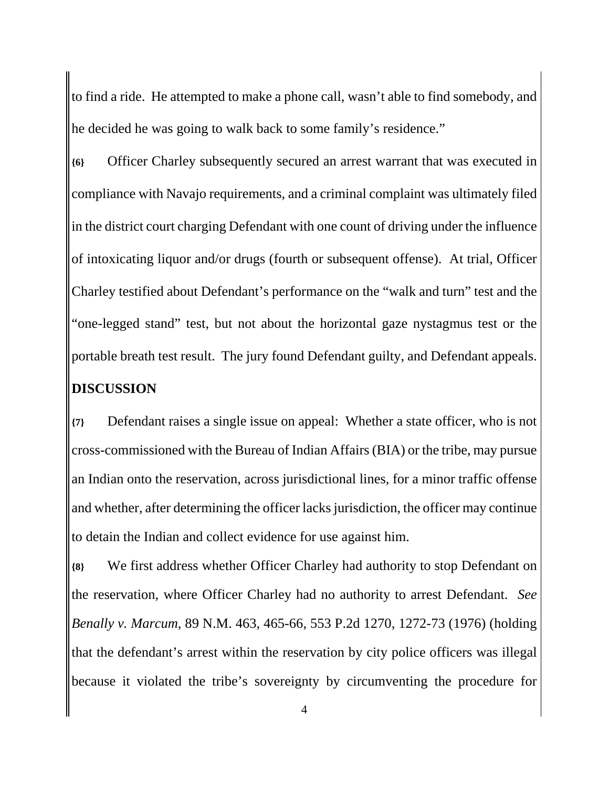to find a ride. He attempted to make a phone call, wasn't able to find somebody, and he decided he was going to walk back to some family's residence."

**{6}** Officer Charley subsequently secured an arrest warrant that was executed in compliance with Navajo requirements, and a criminal complaint was ultimately filed in the district court charging Defendant with one count of driving under the influence of intoxicating liquor and/or drugs (fourth or subsequent offense). At trial, Officer Charley testified about Defendant's performance on the "walk and turn" test and the "one-legged stand" test, but not about the horizontal gaze nystagmus test or the portable breath test result. The jury found Defendant guilty, and Defendant appeals. **DISCUSSION**

**{7}** Defendant raises a single issue on appeal: Whether a state officer, who is not cross-commissioned with the Bureau of Indian Affairs (BIA) or the tribe, may pursue an Indian onto the reservation, across jurisdictional lines, for a minor traffic offense and whether, after determining the officer lacks jurisdiction, the officer may continue to detain the Indian and collect evidence for use against him.

**{8}** We first address whether Officer Charley had authority to stop Defendant on the reservation, where Officer Charley had no authority to arrest Defendant. *See Benally v. Marcum*, 89 N.M. 463, 465-66, 553 P.2d 1270, 1272-73 (1976) (holding that the defendant's arrest within the reservation by city police officers was illegal because it violated the tribe's sovereignty by circumventing the procedure for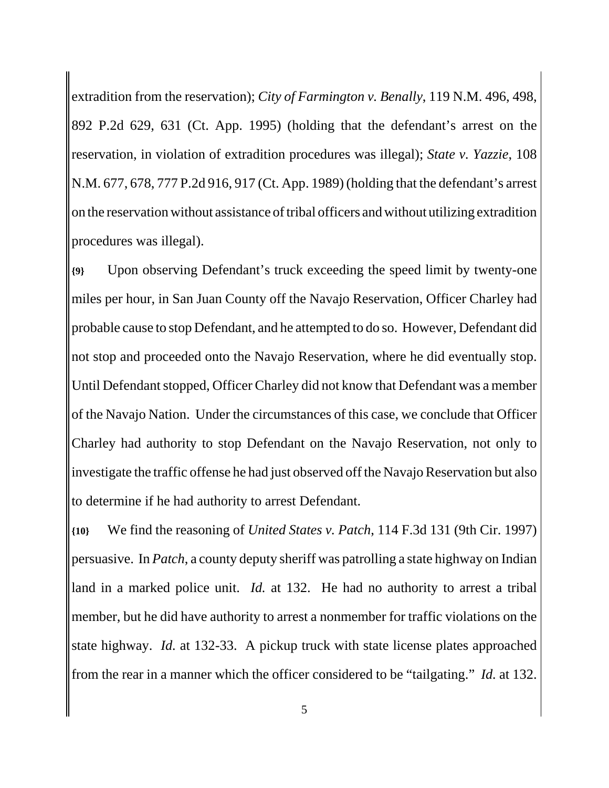extradition from the reservation); *City of Farmington v. Benally*, 119 N.M. 496, 498, 892 P.2d 629, 631 (Ct. App. 1995) (holding that the defendant's arrest on the reservation, in violation of extradition procedures was illegal); *State v. Yazzie*, 108 N.M. 677, 678, 777 P.2d 916, 917 (Ct. App. 1989) (holding that the defendant's arrest on the reservation without assistance of tribal officers and without utilizing extradition procedures was illegal).

**{9}** Upon observing Defendant's truck exceeding the speed limit by twenty-one miles per hour, in San Juan County off the Navajo Reservation, Officer Charley had probable cause to stop Defendant, and he attempted to do so. However, Defendant did not stop and proceeded onto the Navajo Reservation, where he did eventually stop. Until Defendant stopped, Officer Charley did not know that Defendant was a member of the Navajo Nation. Under the circumstances of this case, we conclude that Officer Charley had authority to stop Defendant on the Navajo Reservation, not only to investigate the traffic offense he had just observed off the Navajo Reservation but also to determine if he had authority to arrest Defendant.

**{10}** We find the reasoning of *United States v. Patch*, 114 F.3d 131 (9th Cir. 1997) persuasive. In *Patch*, a county deputy sheriff was patrolling a state highway on Indian land in a marked police unit. *Id.* at 132. He had no authority to arrest a tribal member, but he did have authority to arrest a nonmember for traffic violations on the state highway. *Id.* at 132-33. A pickup truck with state license plates approached from the rear in a manner which the officer considered to be "tailgating." *Id.* at 132.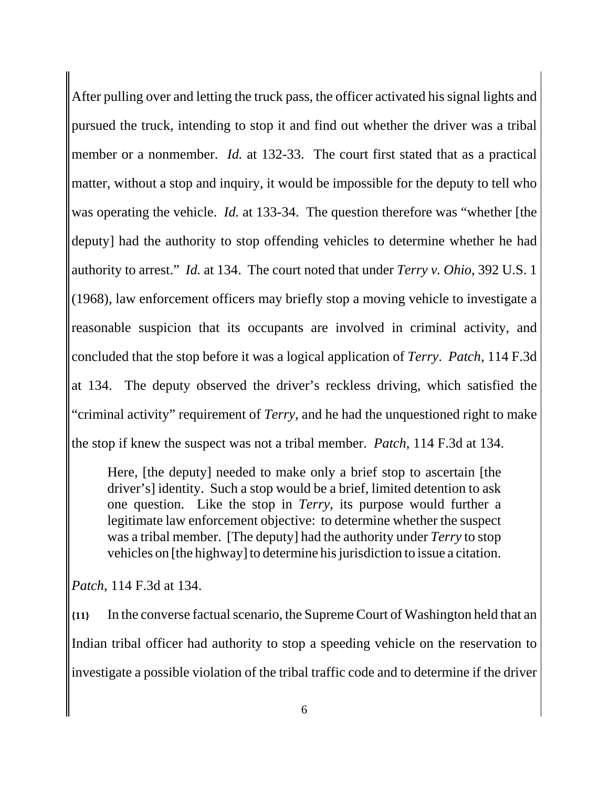After pulling over and letting the truck pass, the officer activated his signal lights and pursued the truck, intending to stop it and find out whether the driver was a tribal member or a nonmember. *Id.* at 132-33. The court first stated that as a practical matter, without a stop and inquiry, it would be impossible for the deputy to tell who was operating the vehicle. *Id.* at 133-34. The question therefore was "whether [the deputy] had the authority to stop offending vehicles to determine whether he had authority to arrest." *Id.* at 134. The court noted that under *Terry v. Ohio*, 392 U.S. 1 (1968), law enforcement officers may briefly stop a moving vehicle to investigate a reasonable suspicion that its occupants are involved in criminal activity, and concluded that the stop before it was a logical application of *Terry*. *Patch*, 114 F.3d at 134. The deputy observed the driver's reckless driving, which satisfied the "criminal activity" requirement of *Terry*, and he had the unquestioned right to make the stop if knew the suspect was not a tribal member. *Patch*, 114 F.3d at 134.

Here, [the deputy] needed to make only a brief stop to ascertain [the driver's] identity. Such a stop would be a brief, limited detention to ask one question. Like the stop in *Terry*, its purpose would further a legitimate law enforcement objective: to determine whether the suspect was a tribal member. [The deputy] had the authority under *Terry* to stop vehicles on [the highway] to determine his jurisdiction to issue a citation.

*Patch*, 114 F.3d at 134.

**{11}** In the converse factual scenario, the Supreme Court of Washington held that an Indian tribal officer had authority to stop a speeding vehicle on the reservation to investigate a possible violation of the tribal traffic code and to determine if the driver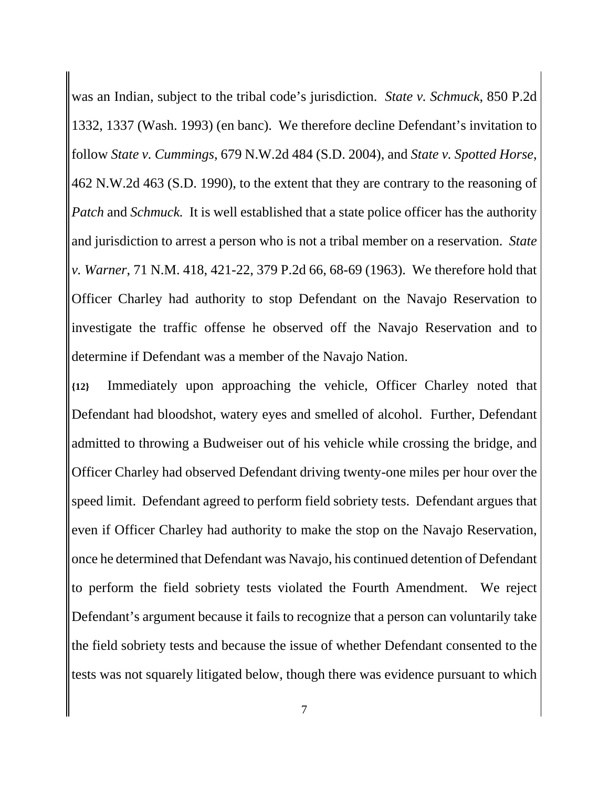was an Indian, subject to the tribal code's jurisdiction. *State v. Schmuck*, 850 P.2d 1332, 1337 (Wash. 1993) (en banc). We therefore decline Defendant's invitation to follow *State v. Cummings*, 679 N.W.2d 484 (S.D. 2004), and *State v. Spotted Horse*, 462 N.W.2d 463 (S.D. 1990), to the extent that they are contrary to the reasoning of *Patch* and *Schmuck.* It is well established that a state police officer has the authority and jurisdiction to arrest a person who is not a tribal member on a reservation. *State v. Warner*, 71 N.M. 418, 421-22, 379 P.2d 66, 68-69 (1963). We therefore hold that Officer Charley had authority to stop Defendant on the Navajo Reservation to investigate the traffic offense he observed off the Navajo Reservation and to determine if Defendant was a member of the Navajo Nation.

**{12}** Immediately upon approaching the vehicle, Officer Charley noted that Defendant had bloodshot, watery eyes and smelled of alcohol. Further, Defendant admitted to throwing a Budweiser out of his vehicle while crossing the bridge, and Officer Charley had observed Defendant driving twenty-one miles per hour over the speed limit. Defendant agreed to perform field sobriety tests. Defendant argues that even if Officer Charley had authority to make the stop on the Navajo Reservation, once he determined that Defendant was Navajo, his continued detention of Defendant to perform the field sobriety tests violated the Fourth Amendment. We reject Defendant's argument because it fails to recognize that a person can voluntarily take the field sobriety tests and because the issue of whether Defendant consented to the tests was not squarely litigated below, though there was evidence pursuant to which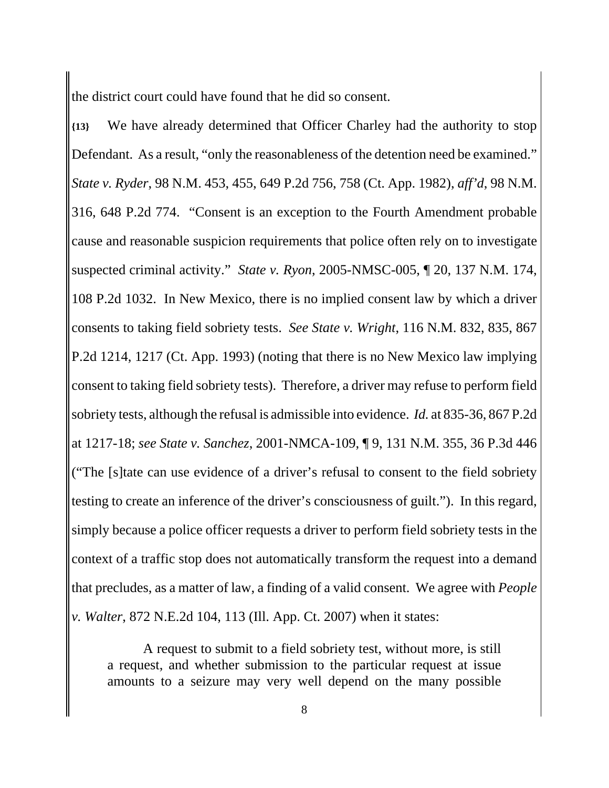the district court could have found that he did so consent.

**{13}** We have already determined that Officer Charley had the authority to stop Defendant. As a result, "only the reasonableness of the detention need be examined." *State v. Ryder*, 98 N.M. 453, 455, 649 P.2d 756, 758 (Ct. App. 1982), *aff'd*, 98 N.M. 316, 648 P.2d 774. "Consent is an exception to the Fourth Amendment probable cause and reasonable suspicion requirements that police often rely on to investigate suspected criminal activity." *State v. Ryon*, 2005-NMSC-005, ¶ 20, 137 N.M. 174, 108 P.2d 1032. In New Mexico, there is no implied consent law by which a driver consents to taking field sobriety tests. *See State v. Wright*, 116 N.M. 832, 835, 867 P.2d 1214, 1217 (Ct. App. 1993) (noting that there is no New Mexico law implying consent to taking field sobriety tests). Therefore, a driver may refuse to perform field sobriety tests, although the refusal is admissible into evidence. *Id.* at 835-36, 867 P.2d at 1217-18; *see State v. Sanchez*, 2001-NMCA-109, ¶ 9, 131 N.M. 355, 36 P.3d 446 ("The [s]tate can use evidence of a driver's refusal to consent to the field sobriety testing to create an inference of the driver's consciousness of guilt."). In this regard, simply because a police officer requests a driver to perform field sobriety tests in the context of a traffic stop does not automatically transform the request into a demand that precludes, as a matter of law, a finding of a valid consent. We agree with *People v. Walter*, 872 N.E.2d 104, 113 (Ill. App. Ct. 2007) when it states:

A request to submit to a field sobriety test, without more, is still a request, and whether submission to the particular request at issue amounts to a seizure may very well depend on the many possible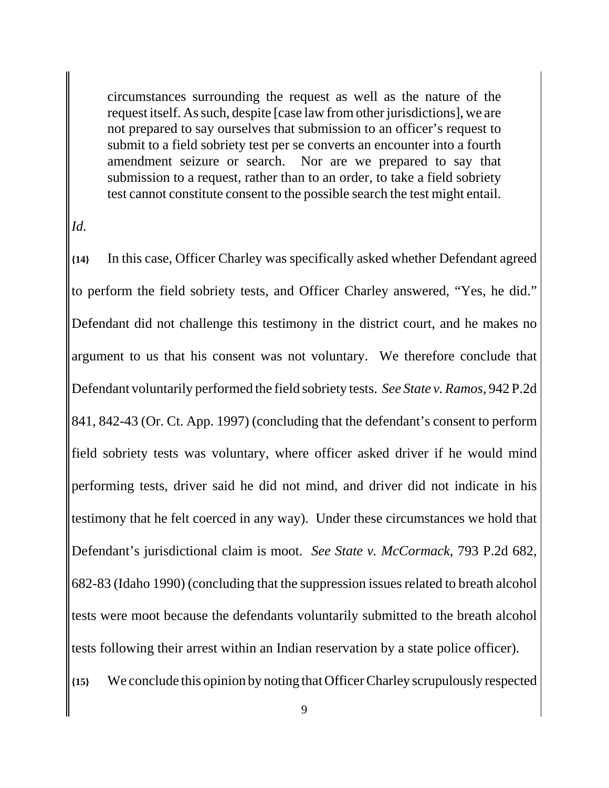circumstances surrounding the request as well as the nature of the request itself. As such, despite [case law from other jurisdictions], we are not prepared to say ourselves that submission to an officer's request to submit to a field sobriety test per se converts an encounter into a fourth amendment seizure or search. Nor are we prepared to say that submission to a request, rather than to an order, to take a field sobriety test cannot constitute consent to the possible search the test might entail.

#### *Id.*

**{14}** In this case, Officer Charley was specifically asked whether Defendant agreed to perform the field sobriety tests, and Officer Charley answered, "Yes, he did." Defendant did not challenge this testimony in the district court, and he makes no argument to us that his consent was not voluntary. We therefore conclude that Defendant voluntarily performed the field sobriety tests. *See State v. Ramos*, 942 P.2d 841, 842-43 (Or. Ct. App. 1997) (concluding that the defendant's consent to perform field sobriety tests was voluntary, where officer asked driver if he would mind performing tests, driver said he did not mind, and driver did not indicate in his testimony that he felt coerced in any way). Under these circumstances we hold that Defendant's jurisdictional claim is moot. *See State v. McCormack*, 793 P.2d 682, 682-83 (Idaho 1990) (concluding that the suppression issues related to breath alcohol tests were moot because the defendants voluntarily submitted to the breath alcohol tests following their arrest within an Indian reservation by a state police officer).

**{15}** We conclude this opinion by noting that Officer Charley scrupulously respected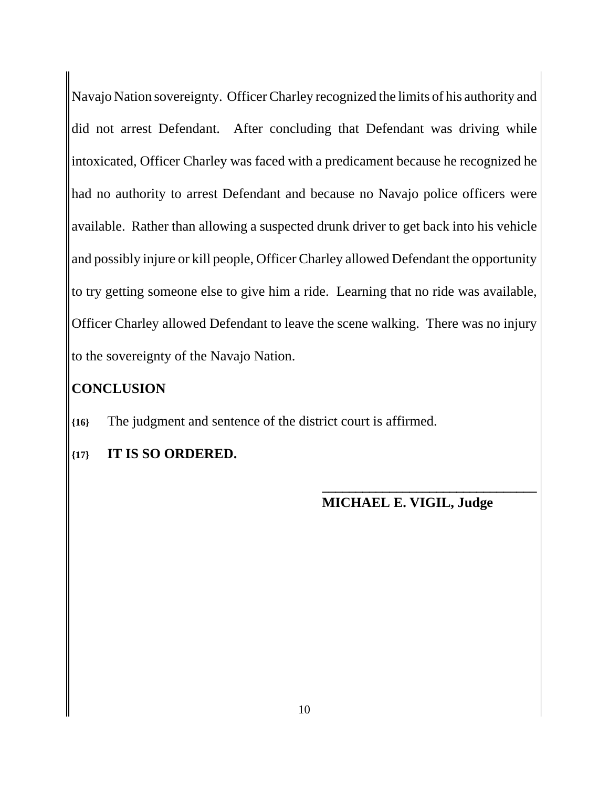Navajo Nation sovereignty. Officer Charley recognized the limits of his authority and did not arrest Defendant. After concluding that Defendant was driving while intoxicated, Officer Charley was faced with a predicament because he recognized he had no authority to arrest Defendant and because no Navajo police officers were available. Rather than allowing a suspected drunk driver to get back into his vehicle and possibly injure or kill people, Officer Charley allowed Defendant the opportunity to try getting someone else to give him a ride. Learning that no ride was available, Officer Charley allowed Defendant to leave the scene walking. There was no injury to the sovereignty of the Navajo Nation.

### **CONCLUSION**

**{16}** The judgment and sentence of the district court is affirmed.

**{17} IT IS SO ORDERED.**

#### **MICHAEL E. VIGIL, Judge**

**\_\_\_\_\_\_\_\_\_\_\_\_\_\_\_\_\_\_\_\_\_\_\_\_\_\_\_\_\_\_\_\_**